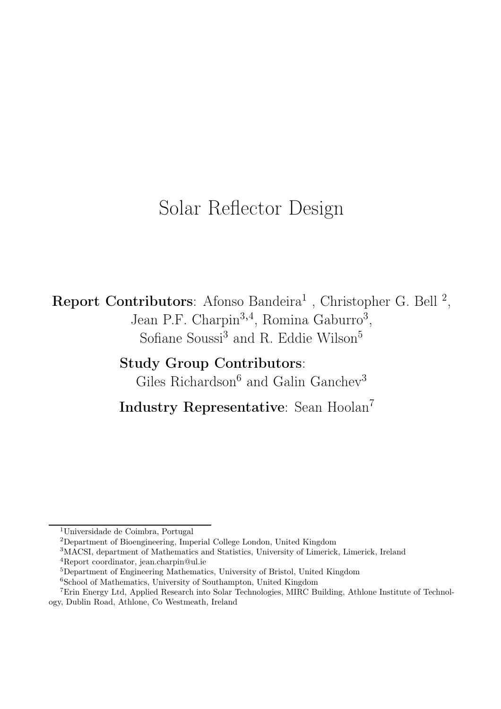# Solar Reflector Design

Report Contributors: Afonso Bandeira<sup>1</sup>, Christopher G. Bell<sup>2</sup>, Jean P.F. Charpin<sup>3,4</sup>, Romina Gaburro<sup>3</sup>, Sofiane Soussi<sup>3</sup> and R. Eddie Wilson<sup>5</sup>

> Study Group Contributors: Giles Richardson<sup>6</sup> and Galin Ganchev<sup>3</sup>

Industry Representative: Sean Hoolan<sup>7</sup>

<sup>5</sup>Department of Engineering Mathematics, University of Bristol, United Kingdom <sup>6</sup>School of Mathematics, University of Southampton, United Kingdom

<sup>1</sup>Universidade de Coimbra, Portugal

<sup>2</sup>Department of Bioengineering, Imperial College London, United Kingdom

<sup>3</sup>MACSI, department of Mathematics and Statistics, University of Limerick, Limerick, Ireland <sup>4</sup>Report coordinator, jean.charpin@ul.ie

<sup>7</sup>Erin Energy Ltd, Applied Research into Solar Technologies, MIRC Building, Athlone Institute of Technology, Dublin Road, Athlone, Co Westmeath, Ireland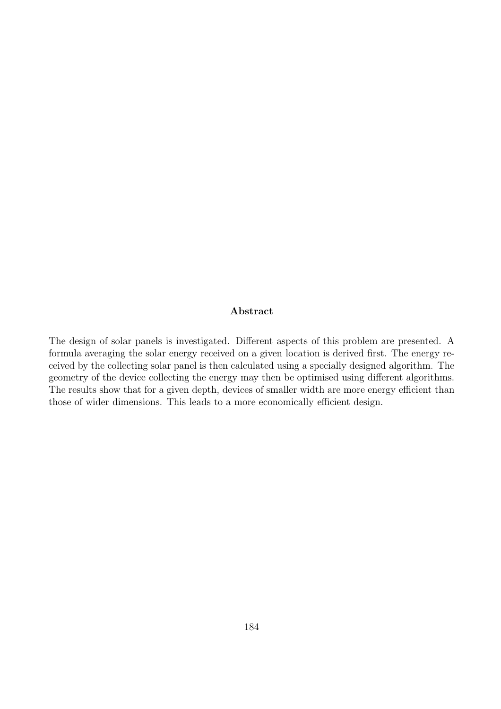#### Abstract

The design of solar panels is investigated. Different aspects of this problem are presented. A formula averaging the solar energy received on a given location is derived first. The energy received by the collecting solar panel is then calculated using a specially designed algorithm. The geometry of the device collecting the energy may then be optimised using different algorithms. The results show that for a given depth, devices of smaller width are more energy efficient than those of wider dimensions. This leads to a more economically efficient design.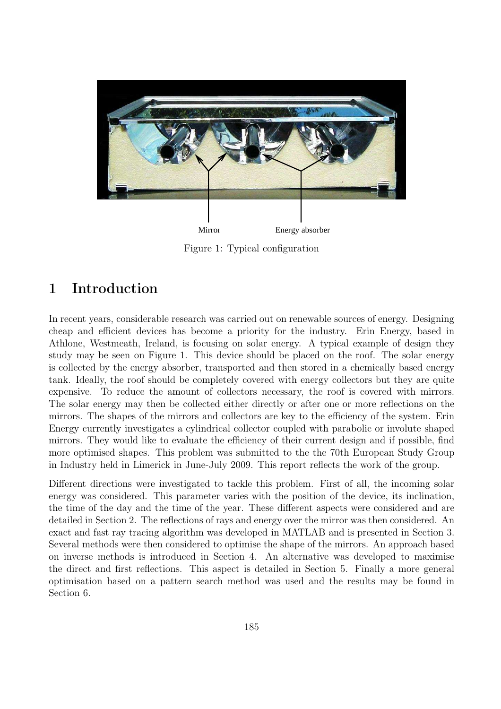

Figure 1: Typical configuration

# 1 Introduction

In recent years, considerable research was carried out on renewable sources of energy. Designing cheap and efficient devices has become a priority for the industry. Erin Energy, based in Athlone, Westmeath, Ireland, is focusing on solar energy. A typical example of design they study may be seen on Figure 1. This device should be placed on the roof. The solar energy is collected by the energy absorber, transported and then stored in a chemically based energy tank. Ideally, the roof should be completely covered with energy collectors but they are quite expensive. To reduce the amount of collectors necessary, the roof is covered with mirrors. The solar energy may then be collected either directly or after one or more reflections on the mirrors. The shapes of the mirrors and collectors are key to the efficiency of the system. Erin Energy currently investigates a cylindrical collector coupled with parabolic or involute shaped mirrors. They would like to evaluate the efficiency of their current design and if possible, find more optimised shapes. This problem was submitted to the the 70th European Study Group in Industry held in Limerick in June-July 2009. This report reflects the work of the group.

Different directions were investigated to tackle this problem. First of all, the incoming solar energy was considered. This parameter varies with the position of the device, its inclination, the time of the day and the time of the year. These different aspects were considered and are detailed in Section 2. The reflections of rays and energy over the mirror was then considered. An exact and fast ray tracing algorithm was developed in MATLAB and is presented in Section 3. Several methods were then considered to optimise the shape of the mirrors. An approach based on inverse methods is introduced in Section 4. An alternative was developed to maximise the direct and first reflections. This aspect is detailed in Section 5. Finally a more general optimisation based on a pattern search method was used and the results may be found in Section 6.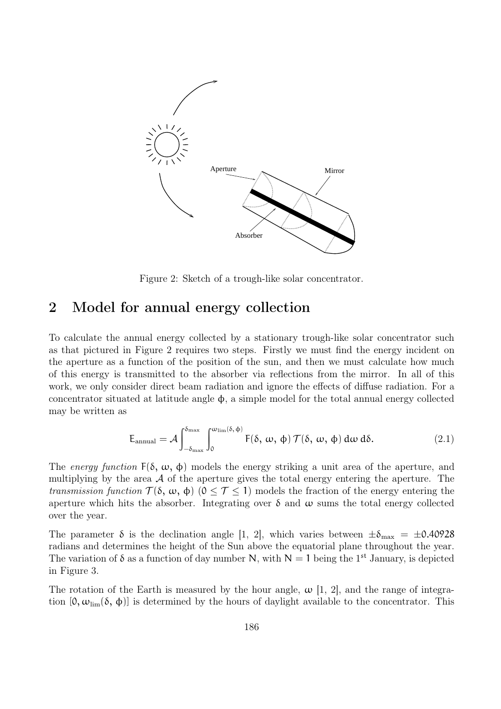

Figure 2: Sketch of a trough-like solar concentrator.

# 2 Model for annual energy collection

To calculate the annual energy collected by a stationary trough-like solar concentrator such as that pictured in Figure 2 requires two steps. Firstly we must find the energy incident on the aperture as a function of the position of the sun, and then we must calculate how much of this energy is transmitted to the absorber via reflections from the mirror. In all of this work, we only consider direct beam radiation and ignore the effects of diffuse radiation. For a concentrator situated at latitude angle φ, a simple model for the total annual energy collected may be written as

$$
E_{\text{annual}} = \mathcal{A} \int_{-\delta_{\text{max}}}^{\delta_{\text{max}}} \int_{0}^{\omega_{\text{lim}}(\delta, \phi)} F(\delta, \omega, \phi) \, \mathcal{T}(\delta, \omega, \phi) \, d\omega \, d\delta. \tag{2.1}
$$

The energy function  $F(\delta, \omega, \phi)$  models the energy striking a unit area of the aperture, and multiplying by the area  $A$  of the aperture gives the total energy entering the aperture. The transmission function  $\mathcal{T}(\delta, \omega, \phi)$   $(0 \leq \mathcal{T} \leq 1)$  models the fraction of the energy entering the aperture which hits the absorber. Integrating over  $\delta$  and  $\omega$  sums the total energy collected over the year.

The parameter  $\delta$  is the declination angle [1, 2], which varies between  $\pm \delta_{\text{max}} = \pm 0.40928$ radians and determines the height of the Sun above the equatorial plane throughout the year. The variation of  $\delta$  as a function of day number N, with  $N = 1$  being the 1<sup>st</sup> January, is depicted in Figure 3.

The rotation of the Earth is measured by the hour angle,  $\omega$  [1, 2], and the range of integration  $[0, \omega_{\text{lim}}(\delta, \phi)]$  is determined by the hours of daylight available to the concentrator. This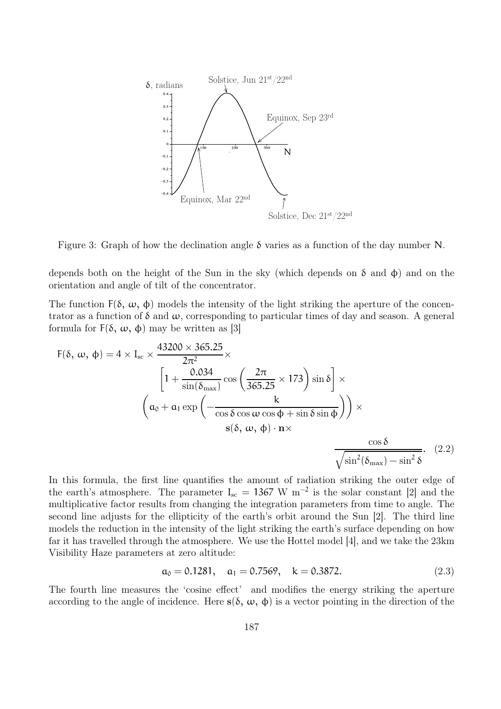

Figure 3: Graph of how the declination angle δ varies as a function of the day number N.

depends both on the height of the Sun in the sky (which depends on  $\delta$  and  $\phi$ ) and on the orientation and angle of tilt of the concentrator.

The function  $F(\delta, \omega, \phi)$  models the intensity of the light striking the aperture of the concentrator as a function of  $\delta$  and  $\omega$ , corresponding to particular times of day and season. A general formula for F(δ, ω, φ) may be written as [3]

$$
F(\delta, \omega, \phi) = 4 \times I_{sc} \times \frac{43200 \times 365.25}{2\pi^2} \times \left[1 + \frac{0.034}{\sin(\delta_{\text{max}})} \cos\left(\frac{2\pi}{365.25} \times 173\right) \sin\delta\right] \times \left(a_0 + a_1 \exp\left(-\frac{k}{\cos\delta\cos\omega\cos\phi + \sin\delta\sin\phi}\right)\right) \times \left(s(\delta, \omega, \phi) \cdot n \times \frac{\cos\delta}{\sqrt{\sin^2(\delta_{\text{max}}) - \sin^2\delta}}.\right)
$$
(2.2)

In this formula, the first line quantifies the amount of radiation striking the outer edge of the earth's atmosphere. The parameter  $I_{\rm sc} = 1367 \text{ W m}^{-2}$  is the solar constant [2] and the multiplicative factor results from changing the integration parameters from time to angle. The second line adjusts for the ellipticity of the earth's orbit around the Sun [2]. The third line models the reduction in the intensity of the light striking the earth's surface depending on how far it has travelled through the atmosphere. We use the Hottel model [4], and we take the 23km Visibility Haze parameters at zero altitude:

$$
a_0 = 0.1281, \quad a_1 = 0.7569, \quad k = 0.3872. \tag{2.3}
$$

The fourth line measures the 'cosine effect' and modifies the energy striking the aperture according to the angle of incidence. Here  $s(\delta, \omega, \phi)$  is a vector pointing in the direction of the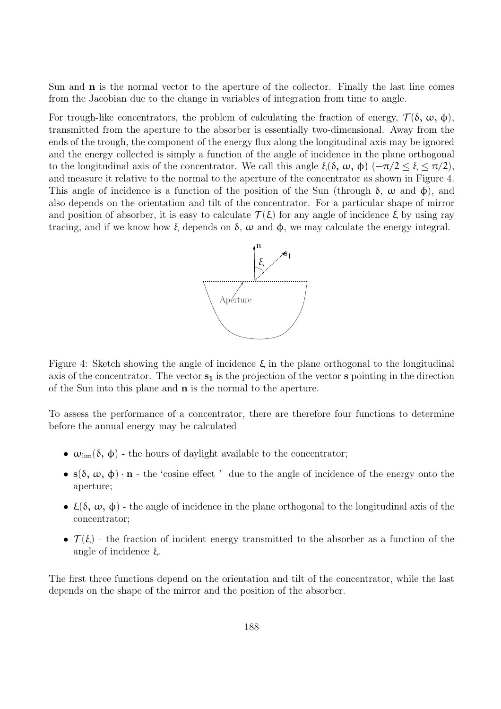Sun and n is the normal vector to the aperture of the collector. Finally the last line comes from the Jacobian due to the change in variables of integration from time to angle.

For trough-like concentrators, the problem of calculating the fraction of energy,  $\mathcal{T}(\delta, \omega, \phi)$ , transmitted from the aperture to the absorber is essentially two-dimensional. Away from the ends of the trough, the component of the energy flux along the longitudinal axis may be ignored and the energy collected is simply a function of the angle of incidence in the plane orthogonal to the longitudinal axis of the concentrator. We call this angle ξ(δ, ω, φ)  $(-\pi/2 \leq \xi \leq \pi/2)$ , and measure it relative to the normal to the aperture of the concentrator as shown in Figure 4. This angle of incidence is a function of the position of the Sun (through  $\delta$ ,  $\omega$  and  $\phi$ ), and also depends on the orientation and tilt of the concentrator. For a particular shape of mirror and position of absorber, it is easy to calculate  $\mathcal{T}(\xi)$  for any angle of incidence  $\xi$  by using ray tracing, and if we know how ξ depends on δ,  $ω$  and  $φ$ , we may calculate the energy integral.



Figure 4: Sketch showing the angle of incidence  $ξ$  in the plane orthogonal to the longitudinal axis of the concentrator. The vector  $s_1$  is the projection of the vector s pointing in the direction of the Sun into this plane and n is the normal to the aperture.

To assess the performance of a concentrator, there are therefore four functions to determine before the annual energy may be calculated

- $\omega_{\text{lim}}(\delta, \phi)$  the hours of daylight available to the concentrator;
- $s(\delta, \omega, \phi) \cdot n$  the 'cosine effect' due to the angle of incidence of the energy onto the aperture;
- $\xi(\delta, \omega, \phi)$  the angle of incidence in the plane orthogonal to the longitudinal axis of the concentrator;
- $\mathcal{T}(\xi)$  the fraction of incident energy transmitted to the absorber as a function of the angle of incidence ξ.

The first three functions depend on the orientation and tilt of the concentrator, while the last depends on the shape of the mirror and the position of the absorber.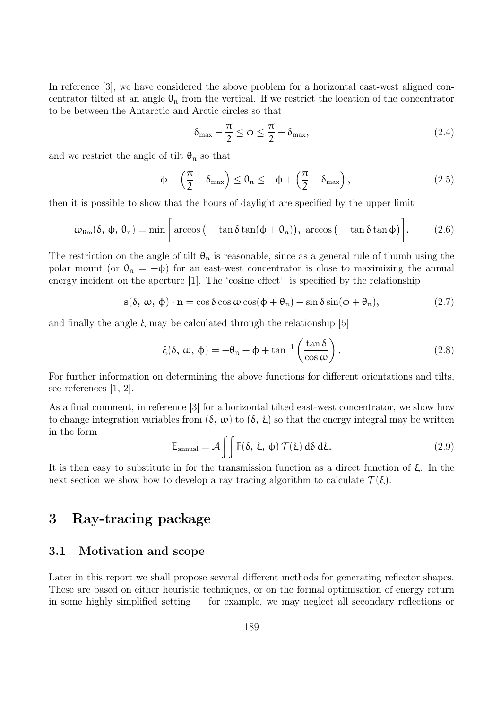In reference [3], we have considered the above problem for a horizontal east-west aligned concentrator tilted at an angle  $\theta_n$  from the vertical. If we restrict the location of the concentrator to be between the Antarctic and Arctic circles so that

$$
\delta_{\max} - \frac{\pi}{2} \le \phi \le \frac{\pi}{2} - \delta_{\max},\tag{2.4}
$$

and we restrict the angle of tilt  $\theta_n$  so that

$$
-\phi - \left(\frac{\pi}{2} - \delta_{\max}\right) \le \theta_n \le -\phi + \left(\frac{\pi}{2} - \delta_{\max}\right),\tag{2.5}
$$

then it is possible to show that the hours of daylight are specified by the upper limit

$$
\omega_{\text{lim}}(\delta, \phi, \theta_n) = \min\bigg[\arccos\big(-\tan\delta\tan(\phi + \theta_n)\big), \arccos\big(-\tan\delta\tan\phi\big)\bigg].\bigg]
$$
(2.6)

The restriction on the angle of tilt  $\theta_n$  is reasonable, since as a general rule of thumb using the polar mount (or  $\theta_n = -\phi$ ) for an east-west concentrator is close to maximizing the annual energy incident on the aperture [1]. The 'cosine effect' is specified by the relationship

$$
s(\delta, \omega, \phi) \cdot n = \cos \delta \cos \omega \cos(\phi + \theta_n) + \sin \delta \sin(\phi + \theta_n), \qquad (2.7)
$$

and finally the angle  $\xi$  may be calculated through the relationship [5]

$$
\xi(\delta, \omega, \phi) = -\theta_n - \phi + \tan^{-1}\left(\frac{\tan \delta}{\cos \omega}\right). \tag{2.8}
$$

For further information on determining the above functions for different orientations and tilts, see references [1, 2].

As a final comment, in reference [3] for a horizontal tilted east-west concentrator, we show how to change integration variables from  $(\delta, \omega)$  to  $(\delta, \xi)$  so that the energy integral may be written in the form

$$
E_{\text{annual}} = \mathcal{A} \iint F(\delta, \xi, \phi) \mathcal{T}(\xi) d\delta d\xi. \tag{2.9}
$$

It is then easy to substitute in for the transmission function as a direct function of  $\xi$ . In the next section we show how to develop a ray tracing algorithm to calculate  $\mathcal{T}(\xi)$ .

# 3 Ray-tracing package

### 3.1 Motivation and scope

Later in this report we shall propose several different methods for generating reflector shapes. These are based on either heuristic techniques, or on the formal optimisation of energy return in some highly simplified setting — for example, we may neglect all secondary reflections or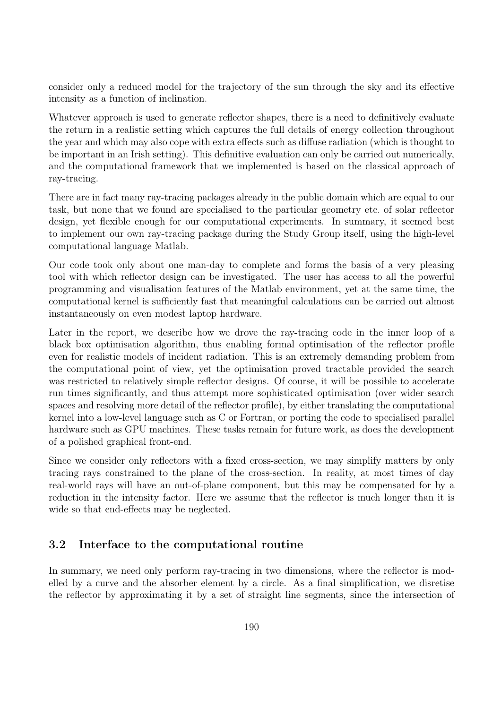consider only a reduced model for the trajectory of the sun through the sky and its effective intensity as a function of inclination.

Whatever approach is used to generate reflector shapes, there is a need to definitively evaluate the return in a realistic setting which captures the full details of energy collection throughout the year and which may also cope with extra effects such as diffuse radiation (which is thought to be important in an Irish setting). This definitive evaluation can only be carried out numerically, and the computational framework that we implemented is based on the classical approach of ray-tracing.

There are in fact many ray-tracing packages already in the public domain which are equal to our task, but none that we found are specialised to the particular geometry etc. of solar reflector design, yet flexible enough for our computational experiments. In summary, it seemed best to implement our own ray-tracing package during the Study Group itself, using the high-level computational language Matlab.

Our code took only about one man-day to complete and forms the basis of a very pleasing tool with which reflector design can be investigated. The user has access to all the powerful programming and visualisation features of the Matlab environment, yet at the same time, the computational kernel is sufficiently fast that meaningful calculations can be carried out almost instantaneously on even modest laptop hardware.

Later in the report, we describe how we drove the ray-tracing code in the inner loop of a black box optimisation algorithm, thus enabling formal optimisation of the reflector profile even for realistic models of incident radiation. This is an extremely demanding problem from the computational point of view, yet the optimisation proved tractable provided the search was restricted to relatively simple reflector designs. Of course, it will be possible to accelerate run times significantly, and thus attempt more sophisticated optimisation (over wider search spaces and resolving more detail of the reflector profile), by either translating the computational kernel into a low-level language such as C or Fortran, or porting the code to specialised parallel hardware such as GPU machines. These tasks remain for future work, as does the development of a polished graphical front-end.

Since we consider only reflectors with a fixed cross-section, we may simplify matters by only tracing rays constrained to the plane of the cross-section. In reality, at most times of day real-world rays will have an out-of-plane component, but this may be compensated for by a reduction in the intensity factor. Here we assume that the reflector is much longer than it is wide so that end-effects may be neglected.

### 3.2 Interface to the computational routine

In summary, we need only perform ray-tracing in two dimensions, where the reflector is modelled by a curve and the absorber element by a circle. As a final simplification, we disretise the reflector by approximating it by a set of straight line segments, since the intersection of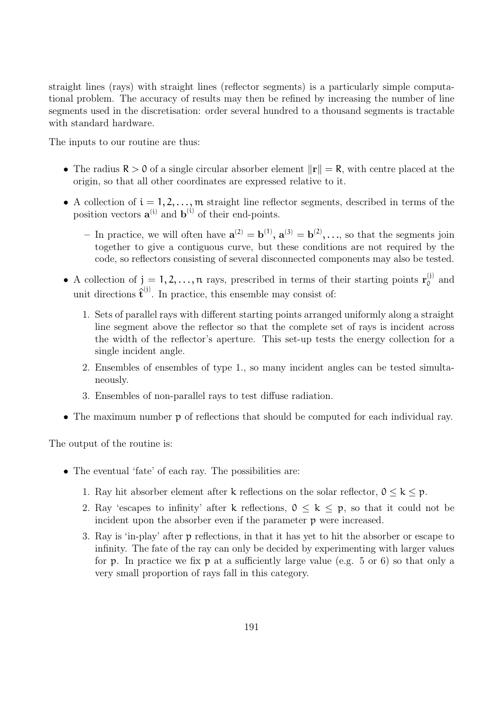straight lines (rays) with straight lines (reflector segments) is a particularly simple computational problem. The accuracy of results may then be refined by increasing the number of line segments used in the discretisation: order several hundred to a thousand segments is tractable with standard hardware.

The inputs to our routine are thus:

- The radius  $R > 0$  of a single circular absorber element  $\|\mathbf{r}\| = R$ , with centre placed at the origin, so that all other coordinates are expressed relative to it.
- A collection of  $i = 1, 2, \ldots, m$  straight line reflector segments, described in terms of the position vectors  $\mathbf{a}^{(i)}$  and  $\mathbf{b}^{(i)}$  of their end-points.
	- In practice, we will often have  $\mathbf{a}^{(2)} = \mathbf{b}^{(1)}$ ,  $\mathbf{a}^{(3)} = \mathbf{b}^{(2)}$ , ..., so that the segments join together to give a contiguous curve, but these conditions are not required by the code, so reflectors consisting of several disconnected components may also be tested.
- A collection of  $j = 1, 2, ..., n$  rays, prescribed in terms of their starting points  $r_0^{(j)}$  $_0^{(1)}$  and unit directions  $\hat{\mathbf{t}}^{(j)}$ . In practice, this ensemble may consist of:
	- 1. Sets of parallel rays with different starting points arranged uniformly along a straight line segment above the reflector so that the complete set of rays is incident across the width of the reflector's aperture. This set-up tests the energy collection for a single incident angle.
	- 2. Ensembles of ensembles of type 1., so many incident angles can be tested simultaneously.
	- 3. Ensembles of non-parallel rays to test diffuse radiation.
- The maximum number p of reflections that should be computed for each individual ray.

The output of the routine is:

- The eventual 'fate' of each ray. The possibilities are:
	- 1. Ray hit absorber element after k reflections on the solar reflector,  $0 \le k \le p$ .
	- 2. Ray 'escapes to infinity' after k reflections,  $0 \leq k \leq p$ , so that it could not be incident upon the absorber even if the parameter p were increased.
	- 3. Ray is 'in-play' after p reflections, in that it has yet to hit the absorber or escape to infinity. The fate of the ray can only be decided by experimenting with larger values for  $p$ . In practice we fix  $p$  at a sufficiently large value (e.g.  $5$  or  $6$ ) so that only a very small proportion of rays fall in this category.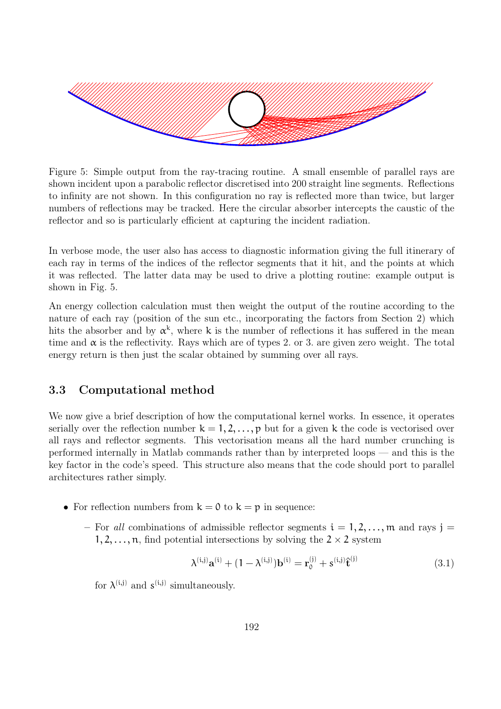

Figure 5: Simple output from the ray-tracing routine. A small ensemble of parallel rays are shown incident upon a parabolic reflector discretised into 200 straight line segments. Reflections to infinity are not shown. In this configuration no ray is reflected more than twice, but larger numbers of reflections may be tracked. Here the circular absorber intercepts the caustic of the reflector and so is particularly efficient at capturing the incident radiation.

In verbose mode, the user also has access to diagnostic information giving the full itinerary of each ray in terms of the indices of the reflector segments that it hit, and the points at which it was reflected. The latter data may be used to drive a plotting routine: example output is shown in Fig. 5.

An energy collection calculation must then weight the output of the routine according to the nature of each ray (position of the sun etc., incorporating the factors from Section 2) which hits the absorber and by  $\alpha^k$ , where k is the number of reflections it has suffered in the mean time and  $\alpha$  is the reflectivity. Rays which are of types 2. or 3. are given zero weight. The total energy return is then just the scalar obtained by summing over all rays.

#### 3.3 Computational method

We now give a brief description of how the computational kernel works. In essence, it operates serially over the reflection number  $k = 1, 2, ..., p$  but for a given k the code is vectorised over all rays and reflector segments. This vectorisation means all the hard number crunching is performed internally in Matlab commands rather than by interpreted loops — and this is the key factor in the code's speed. This structure also means that the code should port to parallel architectures rather simply.

- For reflection numbers from  $k = 0$  to  $k = p$  in sequence:
	- For all combinations of admissible reflector segments  $i = 1, 2, \ldots, m$  and rays  $j =$  $1, 2, \ldots, n$ , find potential intersections by solving the  $2 \times 2$  system

$$
\lambda^{(i,j)}\mathbf{a}^{(i)} + (1 - \lambda^{(i,j)})\mathbf{b}^{(i)} = \mathbf{r}_0^{(j)} + s^{(i,j)}\hat{\mathbf{t}}^{(j)}
$$
(3.1)

for  $\lambda^{(i,j)}$  and  $s^{(i,j)}$  simultaneously.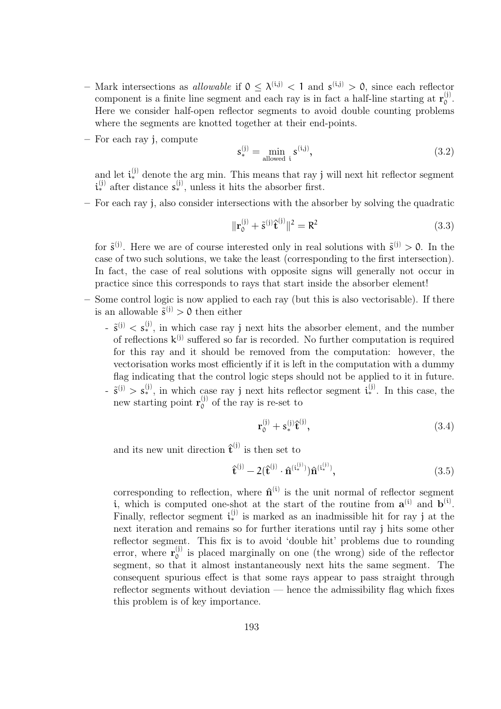- Mark intersections as *allowable* if  $0 \leq \lambda^{(i,j)} < 1$  and  $s^{(i,j)} > 0$ , since each reflector component is a finite line segment and each ray is in fact a half-line starting at  $\mathbf{r}_0^{(j)}$ 0 . Here we consider half-open reflector segments to avoid double counting problems where the segments are knotted together at their end-points.
- For each ray j, compute

$$
\mathbf{s}_{*}^{(j)} = \min_{\text{allowed } i} \mathbf{s}^{(i,j)},\tag{3.2}
$$

and let  $\mathfrak{i}_{*}^{(j)}$  denote the arg min. This means that ray j will next hit reflector segment  $\mathfrak{i}_{*}^{(j)}$  after distance  $s_{*}^{(j)}$ , unless it hits the absorber first.

– For each ray j, also consider intersections with the absorber by solving the quadratic

$$
\|\mathbf{r}_0^{(j)} + \tilde{\mathbf{s}}^{(j)}\hat{\mathbf{t}}^{(j)}\|^2 = \mathbf{R}^2
$$
\n(3.3)

for  $\tilde{s}^{(j)}$ . Here we are of course interested only in real solutions with  $\tilde{s}^{(j)} > 0$ . In the case of two such solutions, we take the least (corresponding to the first intersection). In fact, the case of real solutions with opposite signs will generally not occur in practice since this corresponds to rays that start inside the absorber element!

- Some control logic is now applied to each ray (but this is also vectorisable). If there is an allowable  $\tilde{s}^{(j)} > 0$  then either
	- $-\tilde{\mathfrak{s}}^{(j)} < s_*^{(j)}$ , in which case ray j next hits the absorber element, and the number of reflections  $k^{(j)}$  suffered so far is recorded. No further computation is required for this ray and it should be removed from the computation: however, the vectorisation works most efficiently if it is left in the computation with a dummy flag indicating that the control logic steps should not be applied to it in future.
	- $-\tilde{\mathfrak{s}}^{(j)} > s_*^{(j)}$ , in which case ray j next hits reflector segment  $i_*^{(j)}$ . In this case, the new starting point  $\mathbf{r}_0^{(j)}$  $_0^{(0)}$  of the ray is re-set to

$$
\mathbf{r}_0^{(j)} + s_*^{(j)} \hat{\mathbf{t}}^{(j)},\tag{3.4}
$$

and its new unit direction  $\hat{\mathbf{t}}^{(j)}$  is then set to

$$
\hat{\mathbf{t}}^{(j)} - 2(\hat{\mathbf{t}}^{(j)} \cdot \hat{\mathbf{n}}^{(i_*^{(j)})}) \hat{\mathbf{n}}^{(i_*^{(j)})},\tag{3.5}
$$

corresponding to reflection, where  $\hat{\mathbf{n}}^{(i)}$  is the unit normal of reflector segment i, which is computed one-shot at the start of the routine from  $a^{(i)}$  and  $b^{(i)}$ . Finally, reflector segment  $i_*^{(j)}$  is marked as an inadmissible hit for ray j at the next iteration and remains so for further iterations until ray j hits some other reflector segment. This fix is to avoid 'double hit' problems due to rounding error, where  $\mathbf{r}_0^{(j)}$  $_0^{(1)}$  is placed marginally on one (the wrong) side of the reflector segment, so that it almost instantaneously next hits the same segment. The consequent spurious effect is that some rays appear to pass straight through reflector segments without deviation — hence the admissibility flag which fixes this problem is of key importance.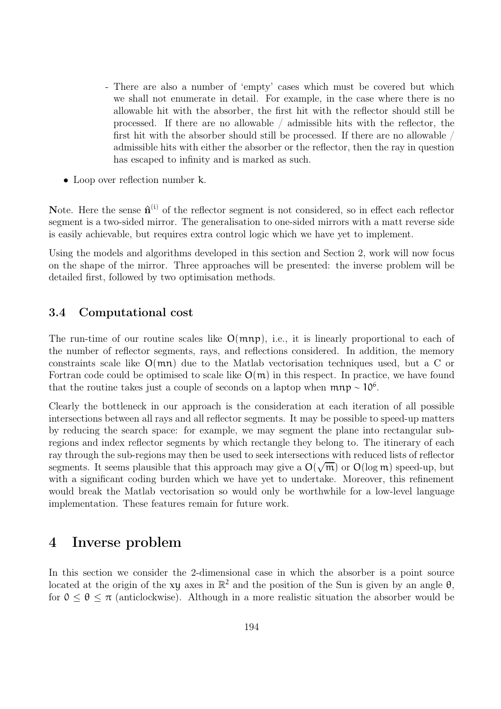- There are also a number of 'empty' cases which must be covered but which we shall not enumerate in detail. For example, in the case where there is no allowable hit with the absorber, the first hit with the reflector should still be processed. If there are no allowable / admissible hits with the reflector, the first hit with the absorber should still be processed. If there are no allowable / admissible hits with either the absorber or the reflector, then the ray in question has escaped to infinity and is marked as such.
- Loop over reflection number k.

Note. Here the sense  $\hat{\mathbf{n}}^{(i)}$  of the reflector segment is not considered, so in effect each reflector segment is a two-sided mirror. The generalisation to one-sided mirrors with a matt reverse side is easily achievable, but requires extra control logic which we have yet to implement.

Using the models and algorithms developed in this section and Section 2, work will now focus on the shape of the mirror. Three approaches will be presented: the inverse problem will be detailed first, followed by two optimisation methods.

### 3.4 Computational cost

The run-time of our routine scales like  $O(mnp)$ , i.e., it is linearly proportional to each of the number of reflector segments, rays, and reflections considered. In addition, the memory constraints scale like O(mn) due to the Matlab vectorisation techniques used, but a C or Fortran code could be optimised to scale like  $O(m)$  in this respect. In practice, we have found that the routine takes just a couple of seconds on a laptop when  $mnp \sim 10^6$ .

Clearly the bottleneck in our approach is the consideration at each iteration of all possible intersections between all rays and all reflector segments. It may be possible to speed-up matters by reducing the search space: for example, we may segment the plane into rectangular subregions and index reflector segments by which rectangle they belong to. The itinerary of each ray through the sub-regions may then be used to seek intersections with reduced lists of reflector segments. It seems plausible that this approach may give a  $O(\sqrt{m})$  or  $O(\log m)$  speed-up, but with a significant coding burden which we have yet to undertake. Moreover, this refinement would break the Matlab vectorisation so would only be worthwhile for a low-level language implementation. These features remain for future work.

## 4 Inverse problem

In this section we consider the 2-dimensional case in which the absorber is a point source located at the origin of the xy axes in  $\mathbb{R}^2$  and the position of the Sun is given by an angle  $\theta$ , for  $0 \le \theta \le \pi$  (anticlockwise). Although in a more realistic situation the absorber would be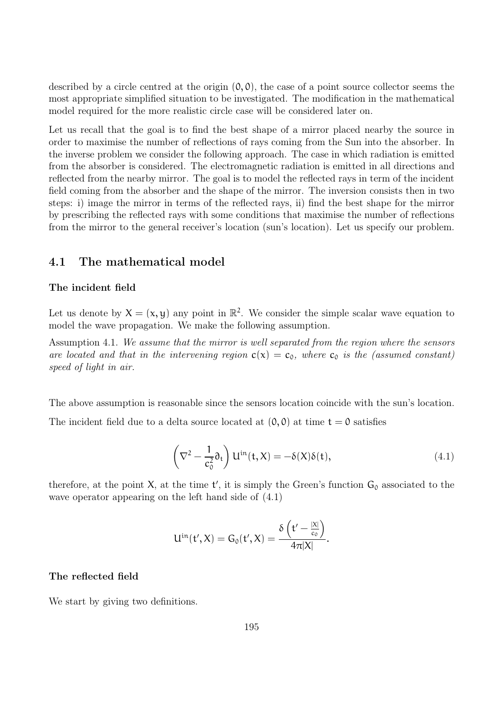described by a circle centred at the origin  $(0, 0)$ , the case of a point source collector seems the most appropriate simplified situation to be investigated. The modification in the mathematical model required for the more realistic circle case will be considered later on.

Let us recall that the goal is to find the best shape of a mirror placed nearby the source in order to maximise the number of reflections of rays coming from the Sun into the absorber. In the inverse problem we consider the following approach. The case in which radiation is emitted from the absorber is considered. The electromagnetic radiation is emitted in all directions and reflected from the nearby mirror. The goal is to model the reflected rays in term of the incident field coming from the absorber and the shape of the mirror. The inversion consists then in two steps: i) image the mirror in terms of the reflected rays, ii) find the best shape for the mirror by prescribing the reflected rays with some conditions that maximise the number of reflections from the mirror to the general receiver's location (sun's location). Let us specify our problem.

#### 4.1 The mathematical model

#### The incident field

Let us denote by  $X = (x, y)$  any point in  $\mathbb{R}^2$ . We consider the simple scalar wave equation to model the wave propagation. We make the following assumption.

Assumption 4.1. We assume that the mirror is well separated from the region where the sensors are located and that in the intervening region  $c(x) = c_0$ , where  $c_0$  is the (assumed constant) speed of light in air.

The above assumption is reasonable since the sensors location coincide with the sun's location.

The incident field due to a delta source located at  $(0, 0)$  at time  $t = 0$  satisfies

$$
\left(\nabla^2 - \frac{1}{c_0^2} \partial_t\right) \mathcal{U}^{\text{in}}(\mathfrak{t}, X) = -\delta(X)\delta(\mathfrak{t}),\tag{4.1}
$$

therefore, at the point  $X$ , at the time  $t'$ , it is simply the Green's function  $G_0$  associated to the wave operator appearing on the left hand side of (4.1)

$$
U^{\text{in}}(t',X)=G_0(t',X)=\frac{\delta\left(t'-\frac{|X|}{c_0}\right)}{4\pi|X|}.
$$

#### The reflected field

We start by giving two definitions.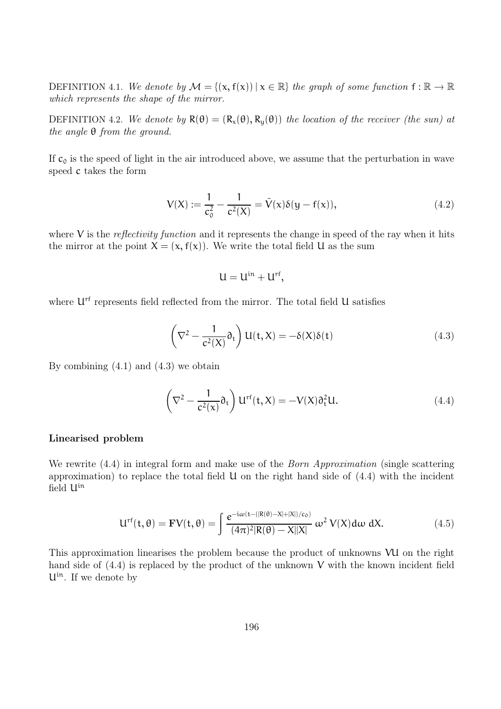DEFINITION 4.1. We denote by  $\mathcal{M} = \{(\mathbf{x}, \mathbf{f}(\mathbf{x})) \mid \mathbf{x} \in \mathbb{R}\}\)$  the graph of some function  $\mathbf{f} : \mathbb{R} \to \mathbb{R}$ which represents the shape of the mirror.

DEFINITION 4.2. We denote by  $R(\theta) = (R_x(\theta), R_y(\theta))$  the location of the receiver (the sun) at the angle θ from the ground.

If  $c_0$  is the speed of light in the air introduced above, we assume that the perturbation in wave speed c takes the form

$$
V(X) := \frac{1}{c_0^2} - \frac{1}{c^2(X)} = \tilde{V}(x)\delta(y - f(x)),
$$
\n(4.2)

where  $V$  is the *reflectivity function* and it represents the change in speed of the ray when it hits the mirror at the point  $X = (x, f(x))$ . We write the total field U as the sum

$$
U=U^{\mathrm{in}}+U^{\mathrm{rf}},
$$

where  $U<sup>rf</sup>$  represents field reflected from the mirror. The total field U satisfies

$$
\left(\nabla^2 - \frac{1}{c^2(X)}\partial_t\right)U(t, X) = -\delta(X)\delta(t)
$$
\n(4.3)

By combining  $(4.1)$  and  $(4.3)$  we obtain

$$
\left(\nabla^2 - \frac{1}{c^2(x)}\partial_t\right)U^{rf}(t, X) = -V(X)\partial_t^2 U.
$$
\n(4.4)

#### Linearised problem

We rewrite  $(4.4)$  in integral form and make use of the *Born Approximation* (single scattering approximation) to replace the total field  $U$  on the right hand side of  $(4.4)$  with the incident field Uin

$$
U^{rf}(t,\theta) = \mathbf{F}V(t,\theta) = \int \frac{e^{-i\omega(t-(|R(\theta)-X|+|X|)/c_0)}}{(4\pi)^2|R(\theta)-X||X|} \omega^2 V(X)d\omega dX.
$$
 (4.5)

This approximation linearises the problem because the product of unknowns VU on the right hand side of  $(4.4)$  is replaced by the product of the unknown V with the known incident field  $U^{in}$ . If we denote by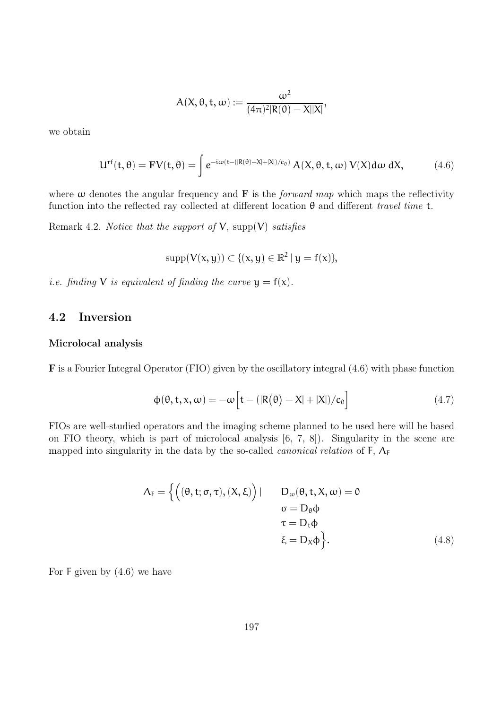$$
A(X, \theta, t, \omega) := \frac{\omega^2}{(4\pi)^2 |R(\theta) - X||X|},
$$

we obtain

$$
U^{rf}(t,\theta) = \mathbf{F}V(t,\theta) = \int e^{-i\omega(t - (|R(\theta) - X| + |X|)/c_0)} A(X,\theta,t,\omega) V(X) d\omega dX, \qquad (4.6)
$$

where  $\omega$  denotes the angular frequency and **F** is the *forward map* which maps the reflectivity function into the reflected ray collected at different location  $\theta$  and different travel time t.

Remark 4.2. Notice that the support of  $V$ , supp $(V)$  satisfies

 $supp(V(x, y)) \subset \{(x, y) \in \mathbb{R}^2 \mid y = f(x)\},\$ 

*i.e.* finding V is equivalent of finding the curve  $y = f(x)$ .

### 4.2 Inversion

#### Microlocal analysis

F is a Fourier Integral Operator (FIO) given by the oscillatory integral (4.6) with phase function

$$
\Phi(\theta, t, x, \omega) = -\omega \left[ t - (|R(\theta) - X| + |X|)/c_0 \right]
$$
\n(4.7)

FIOs are well-studied operators and the imaging scheme planned to be used here will be based on FIO theory, which is part of microlocal analysis [6, 7, 8]). Singularity in the scene are mapped into singularity in the data by the so-called *canonical relation* of  $F$ ,  $\Lambda_F$ 

$$
\Lambda_{F} = \left\{ \left( (\theta, t; \sigma, \tau), (X, \xi) \right) | \qquad D_{\omega}(\theta, t, X, \omega) = 0
$$

$$
\sigma = D_{\theta} \Phi
$$

$$
\tau = D_{t} \Phi
$$

$$
\xi = D_{X} \Phi \right\}.
$$
(4.8)

For  $F$  given by  $(4.6)$  we have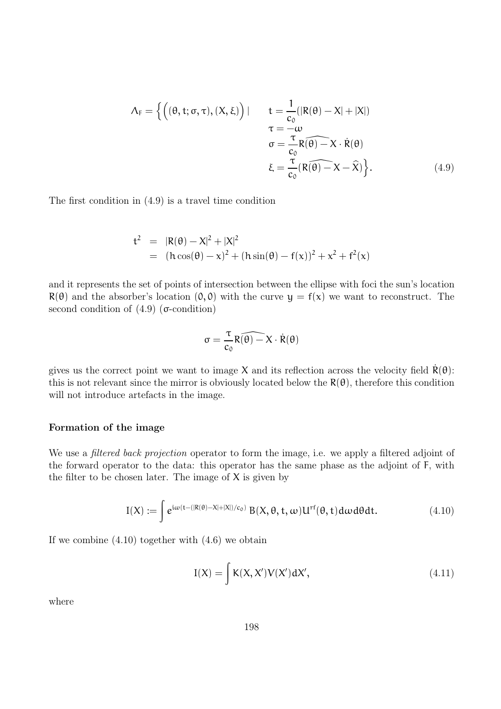$$
\Lambda_{F} = \Big\{ \Big( (\theta, t; \sigma, \tau), (X, \xi) \Big) \mid t = \frac{1}{c_{0}} (|R(\theta) - X| + |X|)
$$
  
\n
$$
\tau = -\omega
$$
  
\n
$$
\sigma = \frac{\tau}{c_{0}} R(\theta) - X \cdot \dot{R}(\theta)
$$
  
\n
$$
\xi = \frac{\tau}{c_{0}} (R(\theta) - X - \hat{X}) \Big\}.
$$
\n(4.9)

The first condition in (4.9) is a travel time condition

$$
t^{2} = |R(\theta) - X|^{2} + |X|^{2}
$$
  
=  $(h \cos(\theta) - x)^{2} + (h \sin(\theta) - f(x))^{2} + x^{2} + f^{2}(x)$ 

and it represents the set of points of intersection between the ellipse with foci the sun's location  $R(\theta)$  and the absorber's location  $(0, 0)$  with the curve  $y = f(x)$  we want to reconstruct. The second condition of  $(4.9)$  ( $\sigma$ -condition)

$$
\sigma = \frac{\tau}{c_0} R(\widehat{\theta)} - X \cdot \dot{R}(\theta)
$$

gives us the correct point we want to image X and its reflection across the velocity field  $R(\theta)$ : this is not relevant since the mirror is obviously located below the  $R(\theta)$ , therefore this condition will not introduce artefacts in the image.

#### Formation of the image

We use a *filtered back projection* operator to form the image, i.e. we apply a filtered adjoint of the forward operator to the data: this operator has the same phase as the adjoint of F, with the filter to be chosen later. The image of  $X$  is given by

$$
I(X) := \int e^{i\omega(t - (|R(\theta) - X| + |X|)/c_0)} B(X, \theta, t, \omega) U^{rf}(\theta, t) d\omega d\theta dt.
$$
 (4.10)

If we combine  $(4.10)$  together with  $(4.6)$  we obtain

$$
I(X) = \int K(X, X')V(X')dX',
$$
\n(4.11)

where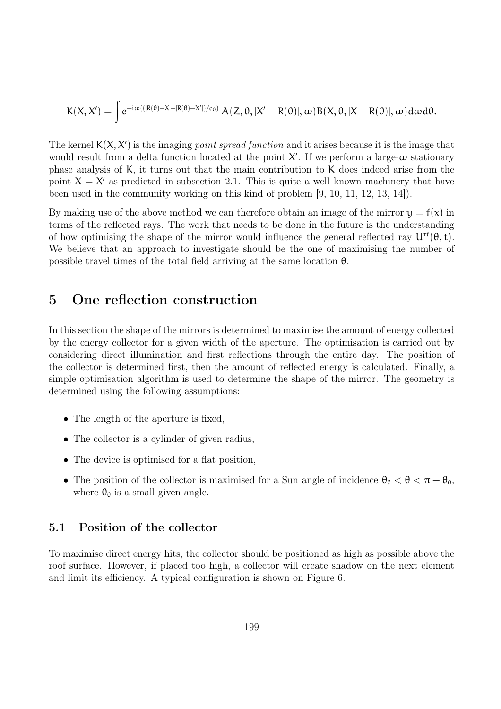$$
K(X,X')=\int e^{-i\omega((|R(\theta)-X|+|R(\theta)-X'|)/c_0)}\ A(Z,\theta,|X'-R(\theta)|,\omega)B(X,\theta,|X-R(\theta)|,\omega)d\omega d\theta.
$$

The kernel  $K(X, X')$  is the imaging *point spread function* and it arises because it is the image that would result from a delta function located at the point  $X'$ . If we perform a large- $\omega$  stationary phase analysis of K, it turns out that the main contribution to K does indeed arise from the point  $X = X'$  as predicted in subsection 2.1. This is quite a well known machinery that have been used in the community working on this kind of problem [9, 10, 11, 12, 13, 14]).

By making use of the above method we can therefore obtain an image of the mirror  $y = f(x)$  in terms of the reflected rays. The work that needs to be done in the future is the understanding of how optimising the shape of the mirror would influence the general reflected ray  $U^{rf}(\theta, t)$ . We believe that an approach to investigate should be the one of maximising the number of possible travel times of the total field arriving at the same location  $\theta$ .

## 5 One reflection construction

In this section the shape of the mirrors is determined to maximise the amount of energy collected by the energy collector for a given width of the aperture. The optimisation is carried out by considering direct illumination and first reflections through the entire day. The position of the collector is determined first, then the amount of reflected energy is calculated. Finally, a simple optimisation algorithm is used to determine the shape of the mirror. The geometry is determined using the following assumptions:

- The length of the aperture is fixed,
- The collector is a cylinder of given radius.
- The device is optimised for a flat position,
- The position of the collector is maximised for a Sun angle of incidence  $\theta_0 < \theta < \pi \theta_0$ , where  $\theta_0$  is a small given angle.

#### 5.1 Position of the collector

To maximise direct energy hits, the collector should be positioned as high as possible above the roof surface. However, if placed too high, a collector will create shadow on the next element and limit its efficiency. A typical configuration is shown on Figure 6.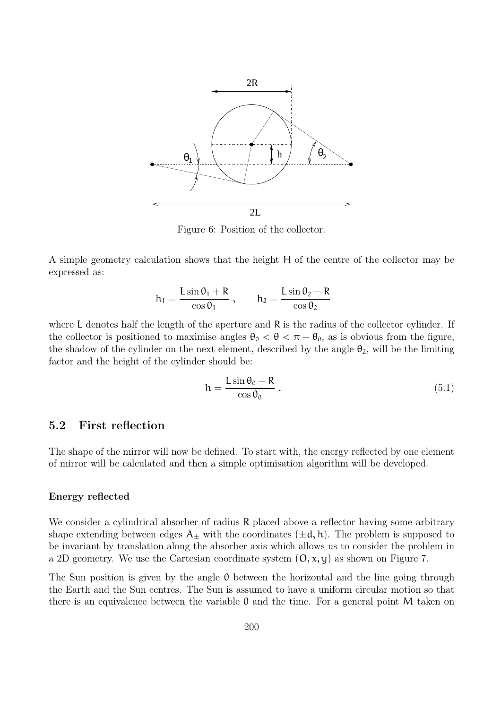

Figure 6: Position of the collector.

A simple geometry calculation shows that the height H of the centre of the collector may be expressed as:

$$
h_1 = \frac{L \sin \theta_1 + R}{\cos \theta_1} , \qquad h_2 = \frac{L \sin \theta_2 - R}{\cos \theta_2}
$$

where L denotes half the length of the aperture and R is the radius of the collector cylinder. If the collector is positioned to maximise angles  $\theta_0 < \theta < \pi - \theta_0$ , as is obvious from the figure, the shadow of the cylinder on the next element, described by the angle  $\theta_2$ , will be the limiting factor and the height of the cylinder should be:

$$
h = \frac{L \sin \theta_0 - R}{\cos \theta_0} \tag{5.1}
$$

### 5.2 First reflection

The shape of the mirror will now be defined. To start with, the energy reflected by one element of mirror will be calculated and then a simple optimisation algorithm will be developed.

#### Energy reflected

We consider a cylindrical absorber of radius R placed above a reflector having some arbitrary shape extending between edges  $A_{\pm}$  with the coordinates  $(\pm d, h)$ . The problem is supposed to be invariant by translation along the absorber axis which allows us to consider the problem in a 2D geometry. We use the Cartesian coordinate system  $(0, x, y)$  as shown on Figure 7.

The Sun position is given by the angle  $\theta$  between the horizontal and the line going through the Earth and the Sun centres. The Sun is assumed to have a uniform circular motion so that there is an equivalence between the variable  $\theta$  and the time. For a general point M taken on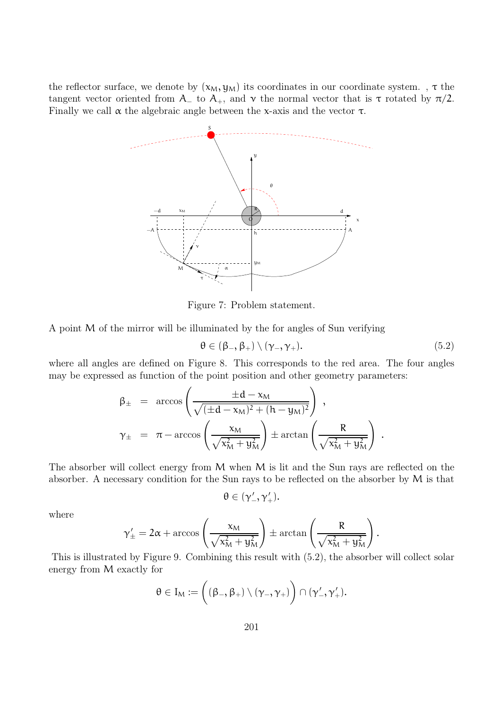the reflector surface, we denote by  $(x_M, y_M)$  its coordinates in our coordinate system.,  $\tau$  the tangent vector oriented from A<sub> $-$ </sub> to A<sub>+</sub>, and  $\gamma$  the normal vector that is  $\tau$  rotated by  $\pi/2$ . Finally we call  $\alpha$  the algebraic angle between the x-axis and the vector  $\tau$ .



Figure 7: Problem statement.

A point M of the mirror will be illuminated by the for angles of Sun verifying

$$
\theta \in (\beta_{-}, \beta_{+}) \setminus (\gamma_{-}, \gamma_{+}). \tag{5.2}
$$

where all angles are defined on Figure 8. This corresponds to the red area. The four angles may be expressed as function of the point position and other geometry parameters:

$$
\begin{array}{rcl} \beta_{\pm} & = & \arccos\left(\dfrac{\pm d-x_M}{\sqrt{(\pm d-x_M)^2+(h-y_M)^2}}\right)\;,\\[2ex] \gamma_{\pm} & = & \pi-\arccos\left(\dfrac{x_M}{\sqrt{x_M^2+y_M^2}}\right)\pm\arctan\left(\dfrac{R}{\sqrt{x_M^2+y_M^2}}\right)\;. \end{array}
$$

The absorber will collect energy from M when M is lit and the Sun rays are reflected on the absorber. A necessary condition for the Sun rays to be reflected on the absorber by M is that

$$
\theta\in (\gamma'_-,\gamma'_+).
$$

where

$$
\gamma_{\pm}'=2\alpha+\arccos\left(\frac{x_M}{\sqrt{x_M^2+y_M^2}}\right)\pm\arctan\left(\frac{R}{\sqrt{x_M^2+y_M^2}}\right).
$$

This is illustrated by Figure 9. Combining this result with (5.2), the absorber will collect solar energy from M exactly for

$$
\theta\in I_M:=\bigg((\beta_-,\beta_+)\setminus(\gamma_-,\gamma_+)\bigg)\cap(\gamma'_-,\gamma'_+).
$$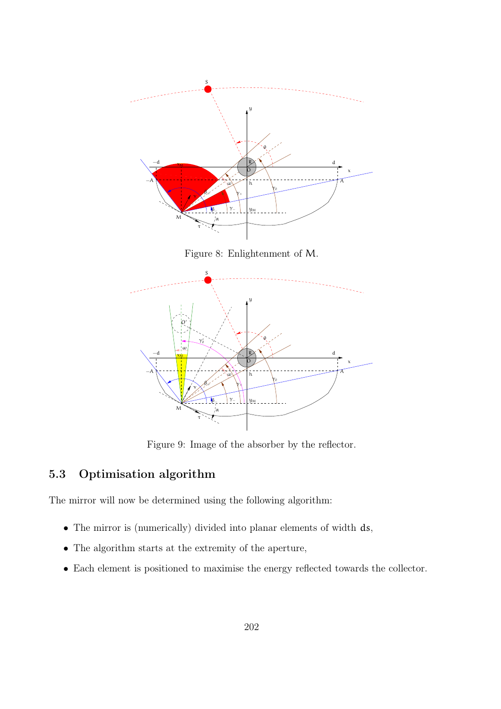

Figure 8: Enlightenment of M.



Figure 9: Image of the absorber by the reflector.

### 5.3 Optimisation algorithm

The mirror will now be determined using the following algorithm:

- The mirror is (numerically) divided into planar elements of width ds,
- The algorithm starts at the extremity of the aperture,
- Each element is positioned to maximise the energy reflected towards the collector.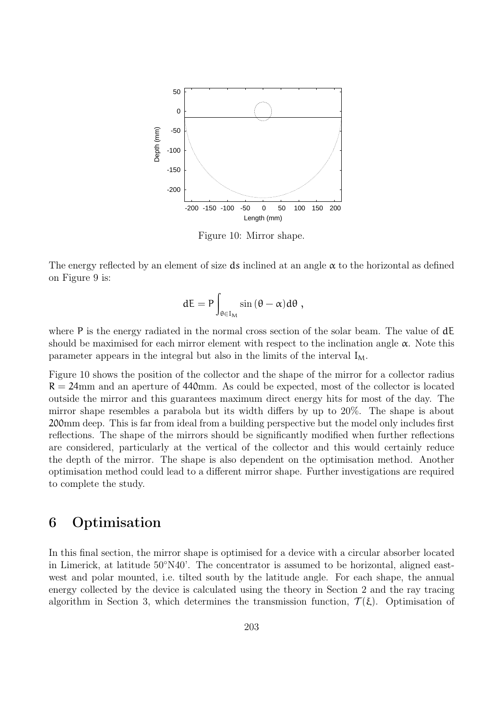

Figure 10: Mirror shape.

The energy reflected by an element of size ds inclined at an angle  $\alpha$  to the horizontal as defined on Figure 9 is:

$$
dE = P \int_{\theta \in I_M} \sin (\theta - \alpha) d\theta ,
$$

where P is the energy radiated in the normal cross section of the solar beam. The value of  $dE$ should be maximised for each mirror element with respect to the inclination angle  $\alpha$ . Note this parameter appears in the integral but also in the limits of the interval  $I_M$ .

Figure 10 shows the position of the collector and the shape of the mirror for a collector radius  $R = 24$ mm and an aperture of 440mm. As could be expected, most of the collector is located outside the mirror and this guarantees maximum direct energy hits for most of the day. The mirror shape resembles a parabola but its width differs by up to 20%. The shape is about 200mm deep. This is far from ideal from a building perspective but the model only includes first reflections. The shape of the mirrors should be significantly modified when further reflections are considered, particularly at the vertical of the collector and this would certainly reduce the depth of the mirror. The shape is also dependent on the optimisation method. Another optimisation method could lead to a different mirror shape. Further investigations are required to complete the study.

# 6 Optimisation

In this final section, the mirror shape is optimised for a device with a circular absorber located in Limerick, at latitude 50◦N40'. The concentrator is assumed to be horizontal, aligned eastwest and polar mounted, i.e. tilted south by the latitude angle. For each shape, the annual energy collected by the device is calculated using the theory in Section 2 and the ray tracing algorithm in Section 3, which determines the transmission function,  $\mathcal{T}(\xi)$ . Optimisation of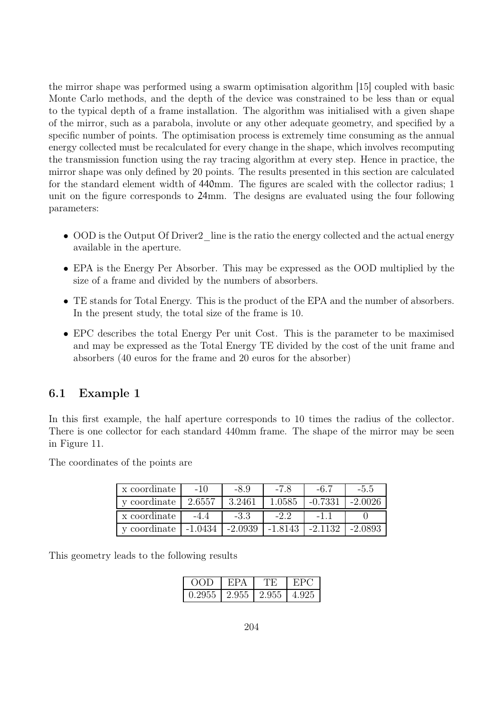the mirror shape was performed using a swarm optimisation algorithm [15] coupled with basic Monte Carlo methods, and the depth of the device was constrained to be less than or equal to the typical depth of a frame installation. The algorithm was initialised with a given shape of the mirror, such as a parabola, involute or any other adequate geometry, and specified by a specific number of points. The optimisation process is extremely time consuming as the annual energy collected must be recalculated for every change in the shape, which involves recomputing the transmission function using the ray tracing algorithm at every step. Hence in practice, the mirror shape was only defined by 20 points. The results presented in this section are calculated for the standard element width of 440mm. The figures are scaled with the collector radius; 1 unit on the figure corresponds to 24mm. The designs are evaluated using the four following parameters:

- OOD is the Output Of Driver2 line is the ratio the energy collected and the actual energy available in the aperture.
- EPA is the Energy Per Absorber. This may be expressed as the OOD multiplied by the size of a frame and divided by the numbers of absorbers.
- TE stands for Total Energy. This is the product of the EPA and the number of absorbers. In the present study, the total size of the frame is 10.
- EPC describes the total Energy Per unit Cost. This is the parameter to be maximised and may be expressed as the Total Energy TE divided by the cost of the unit frame and absorbers (40 euros for the frame and 20 euros for the absorber)

### 6.1 Example 1

In this first example, the half aperture corresponds to 10 times the radius of the collector. There is one collector for each standard 440mm frame. The shape of the mirror may be seen in Figure 11.

The coordinates of the points are

| x coordinate | $-1()$ | -8.9   |        | -6.7      | $-5.5$    |
|--------------|--------|--------|--------|-----------|-----------|
| y coordinate | 2.6557 | 3.2461 | 1.0585 | $-0.7331$ | $-2.0026$ |
|              |        |        |        |           |           |
| x coordinate | $-4.4$ | $-3.3$ | $-2.2$ | $-1$      |           |

This geometry leads to the following results

|        | ч: ⊢  |        |       |
|--------|-------|--------|-------|
| ).2955 | 2.955 | -2.955 | 4.925 |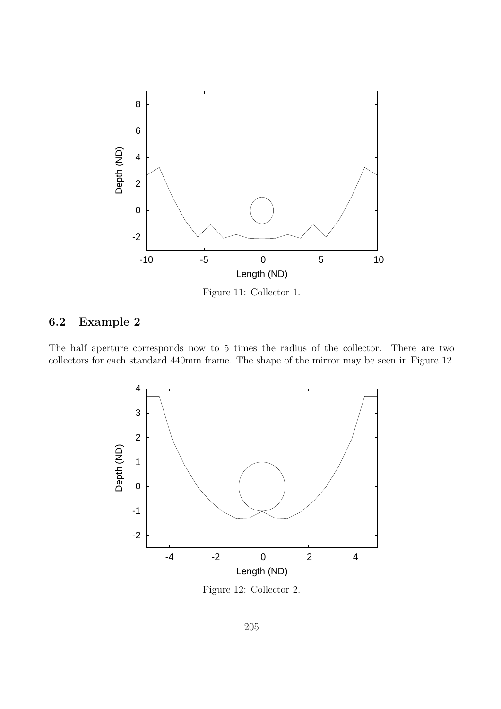

Figure 11: Collector 1.

# 6.2 Example 2

The half aperture corresponds now to 5 times the radius of the collector. There are two collectors for each standard 440mm frame. The shape of the mirror may be seen in Figure 12.



Figure 12: Collector 2.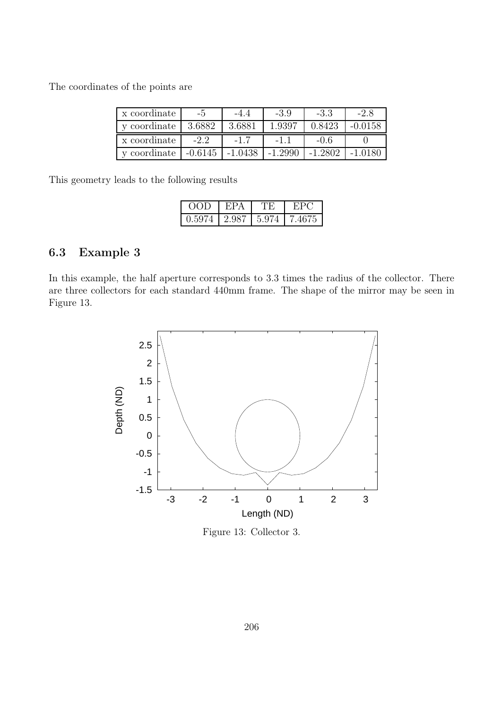The coordinates of the points are

| x coordinate |           |           | $-3.9$    | -3.3    | $-2.8$  |
|--------------|-----------|-----------|-----------|---------|---------|
| y coordinate | 3.6882    | 3.6881    | 1.9397    | 0.8423  | -0.0158 |
| x coordinate | $-2.2$    |           |           | $-0.6$  |         |
| y coordinate | $-0.6145$ | $-1.0438$ | $-1.2990$ | -1.2802 |         |

This geometry leads to the following results

| OOD    | F:PA      |       |        |
|--------|-----------|-------|--------|
| 0.5974 | l 2.987 - | 5.974 | 7.4675 |

### 6.3 Example 3

In this example, the half aperture corresponds to 3.3 times the radius of the collector. There are three collectors for each standard 440mm frame. The shape of the mirror may be seen in Figure 13.



Figure 13: Collector 3.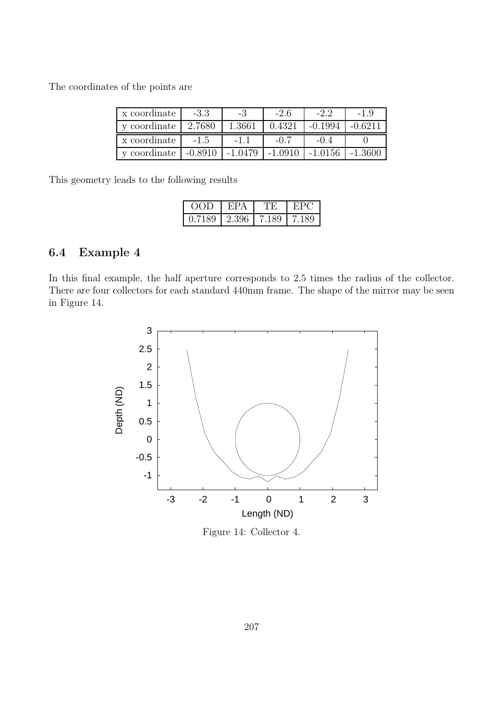The coordinates of the points are

| x coordinate | -3.3      | -3        | $-2.6$    | $-2.2$    |           |
|--------------|-----------|-----------|-----------|-----------|-----------|
| y coordinate | 2.7680    | 1.3661    | 0.4321    | $-0.1994$ | $-0.6211$ |
| x coordinate | $-1.5$    |           | -0.7      |           |           |
| y coordinate | $-0.8910$ | $-1.0479$ | $-1.0910$ | $-1.0156$ | -1.3600   |

This geometry leads to the following results

| $\overline{O}$ | €Р.   |       |     |
|----------------|-------|-------|-----|
| 0.7189         | 2.396 | 7.189 | 189 |

### 6.4 Example 4

In this final example, the half aperture corresponds to 2.5 times the radius of the collector. There are four collectors for each standard 440mm frame. The shape of the mirror may be seen in Figure 14.



Figure 14: Collector 4.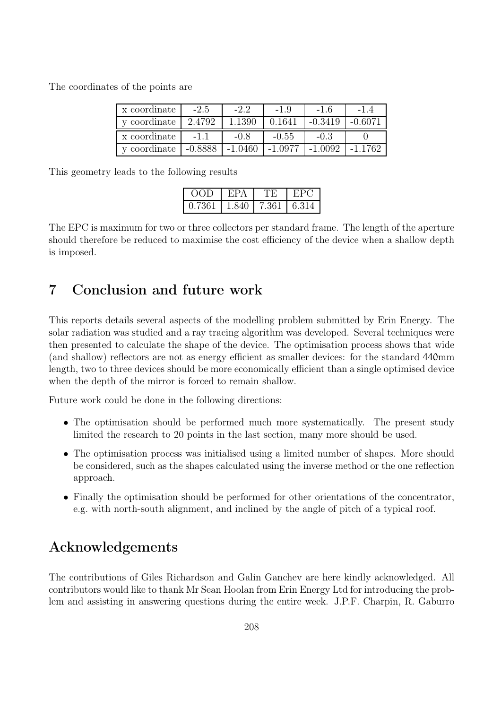The coordinates of the points are

| x coordinate | $-2.5$    | $-2.2$    | $-1.9$    | $-1.6$    |  |
|--------------|-----------|-----------|-----------|-----------|--|
| y coordinate | 2.4792    | 1.1390    | 0.1641    | $-0.3419$ |  |
| x coordinate | $-1.1$    | $-0.8$    | $-0.55$   | $-0.3$    |  |
| y coordinate | $-0.8888$ | $-1.0460$ | $-1.0977$ | $-1.0092$ |  |

This geometry leads to the following results

| OOD    |       |       |       |
|--------|-------|-------|-------|
| 0.7361 | 1.840 | 7.361 | 6.314 |

The EPC is maximum for two or three collectors per standard frame. The length of the aperture should therefore be reduced to maximise the cost efficiency of the device when a shallow depth is imposed.

# 7 Conclusion and future work

This reports details several aspects of the modelling problem submitted by Erin Energy. The solar radiation was studied and a ray tracing algorithm was developed. Several techniques were then presented to calculate the shape of the device. The optimisation process shows that wide (and shallow) reflectors are not as energy efficient as smaller devices: for the standard 440mm length, two to three devices should be more economically efficient than a single optimised device when the depth of the mirror is forced to remain shallow.

Future work could be done in the following directions:

- The optimisation should be performed much more systematically. The present study limited the research to 20 points in the last section, many more should be used.
- The optimisation process was initialised using a limited number of shapes. More should be considered, such as the shapes calculated using the inverse method or the one reflection approach.
- Finally the optimisation should be performed for other orientations of the concentrator, e.g. with north-south alignment, and inclined by the angle of pitch of a typical roof.

# Acknowledgements

The contributions of Giles Richardson and Galin Ganchev are here kindly acknowledged. All contributors would like to thank Mr Sean Hoolan from Erin Energy Ltd for introducing the problem and assisting in answering questions during the entire week. J.P.F. Charpin, R. Gaburro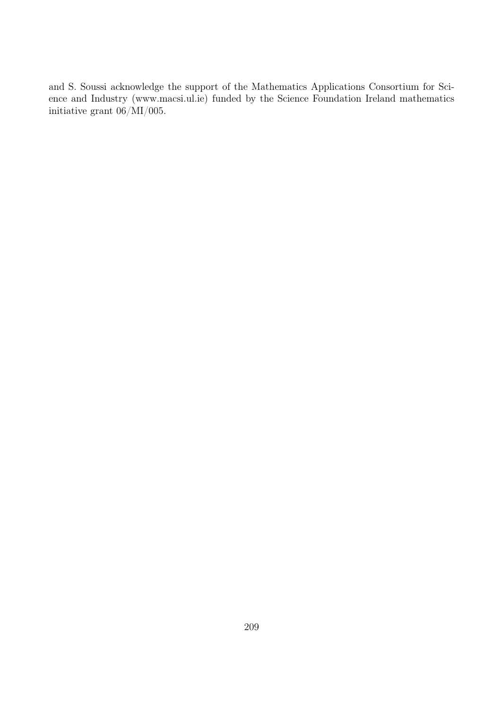and S. Soussi acknowledge the support of the Mathematics Applications Consortium for Science and Industry (www.macsi.ul.ie) funded by the Science Foundation Ireland mathematics initiative grant 06/MI/005.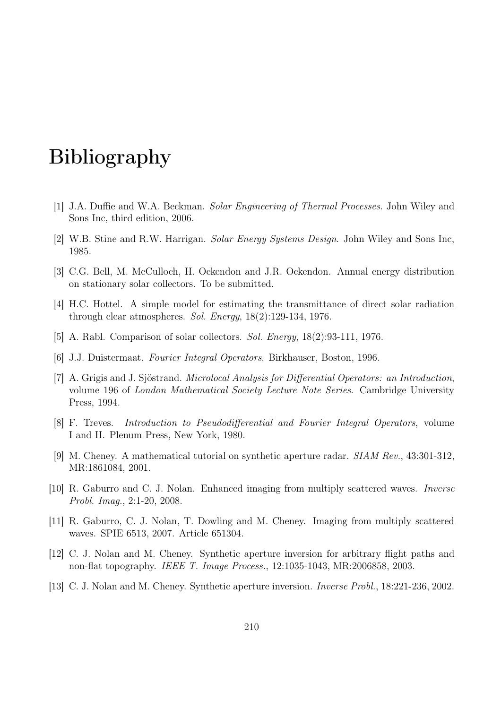# Bibliography

- [1] J.A. Duffie and W.A. Beckman. Solar Engineering of Thermal Processes. John Wiley and Sons Inc, third edition, 2006.
- [2] W.B. Stine and R.W. Harrigan. Solar Energy Systems Design. John Wiley and Sons Inc, 1985.
- [3] C.G. Bell, M. McCulloch, H. Ockendon and J.R. Ockendon. Annual energy distribution on stationary solar collectors. To be submitted.
- [4] H.C. Hottel. A simple model for estimating the transmittance of direct solar radiation through clear atmospheres. Sol. Energy, 18(2):129-134, 1976.
- [5] A. Rabl. Comparison of solar collectors. Sol. Energy, 18(2):93-111, 1976.
- [6] J.J. Duistermaat. Fourier Integral Operators. Birkhauser, Boston, 1996.
- [7] A. Grigis and J. Sjöstrand. Microlocal Analysis for Differential Operators: an Introduction, volume 196 of London Mathematical Society Lecture Note Series. Cambridge University Press, 1994.
- [8] F. Treves. Introduction to Pseudodifferential and Fourier Integral Operators, volume I and II. Plenum Press, New York, 1980.
- [9] M. Cheney. A mathematical tutorial on synthetic aperture radar. SIAM Rev., 43:301-312, MR:1861084, 2001.
- [10] R. Gaburro and C. J. Nolan. Enhanced imaging from multiply scattered waves. Inverse Probl. Imag., 2:1-20, 2008.
- [11] R. Gaburro, C. J. Nolan, T. Dowling and M. Cheney. Imaging from multiply scattered waves. SPIE 6513, 2007. Article 651304.
- [12] C. J. Nolan and M. Cheney. Synthetic aperture inversion for arbitrary flight paths and non-flat topography. IEEE T. Image Process., 12:1035-1043, MR:2006858, 2003.
- [13] C. J. Nolan and M. Cheney. Synthetic aperture inversion. Inverse Probl., 18:221-236, 2002.